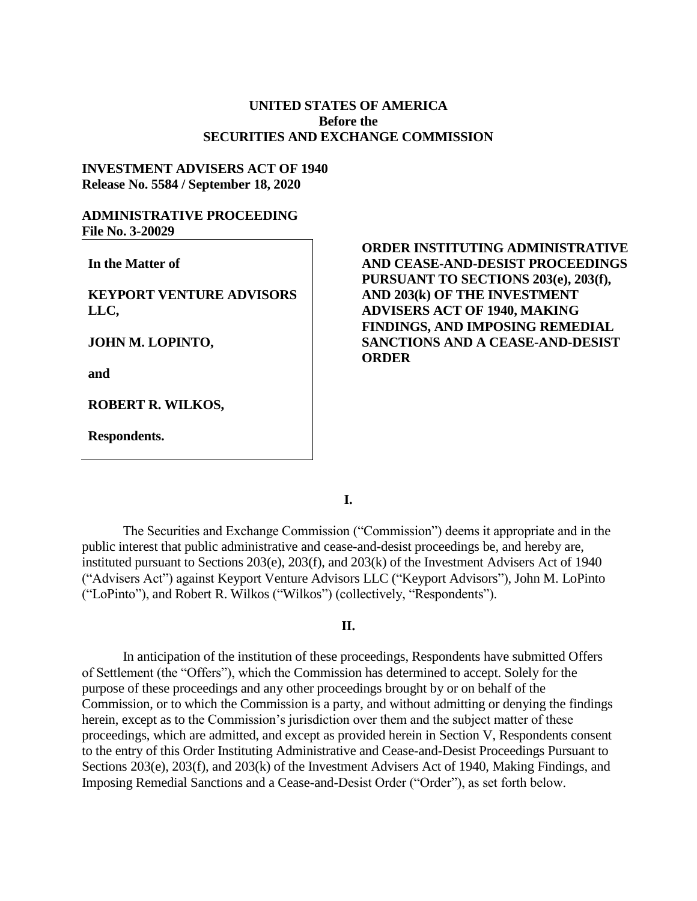## **UNITED STATES OF AMERICA Before the SECURITIES AND EXCHANGE COMMISSION**

### **INVESTMENT ADVISERS ACT OF 1940 Release No. 5584 / September 18, 2020**

## **ADMINISTRATIVE PROCEEDING File No. 3-20029**

**In the Matter of**

**KEYPORT VENTURE ADVISORS LLC,**

**JOHN M. LOPINTO,**

**and**

**ROBERT R. WILKOS,**

**Respondents.**

# **ORDER INSTITUTING ADMINISTRATIVE AND CEASE-AND-DESIST PROCEEDINGS PURSUANT TO SECTIONS 203(e), 203(f), AND 203(k) OF THE INVESTMENT ADVISERS ACT OF 1940, MAKING FINDINGS, AND IMPOSING REMEDIAL SANCTIONS AND A CEASE-AND-DESIST ORDER**

**I.**

The Securities and Exchange Commission ("Commission") deems it appropriate and in the public interest that public administrative and cease-and-desist proceedings be, and hereby are, instituted pursuant to Sections 203(e), 203(f), and 203(k) of the Investment Advisers Act of 1940 ("Advisers Act") against Keyport Venture Advisors LLC ("Keyport Advisors"), John M. LoPinto ("LoPinto"), and Robert R. Wilkos ("Wilkos") (collectively, "Respondents").

#### **II.**

In anticipation of the institution of these proceedings, Respondents have submitted Offers of Settlement (the "Offers"), which the Commission has determined to accept. Solely for the purpose of these proceedings and any other proceedings brought by or on behalf of the Commission, or to which the Commission is a party, and without admitting or denying the findings herein, except as to the Commission's jurisdiction over them and the subject matter of these proceedings, which are admitted, and except as provided herein in Section V, Respondents consent to the entry of this Order Instituting Administrative and Cease-and-Desist Proceedings Pursuant to Sections 203(e), 203(f), and 203(k) of the Investment Advisers Act of 1940, Making Findings, and Imposing Remedial Sanctions and a Cease-and-Desist Order ("Order"), as set forth below.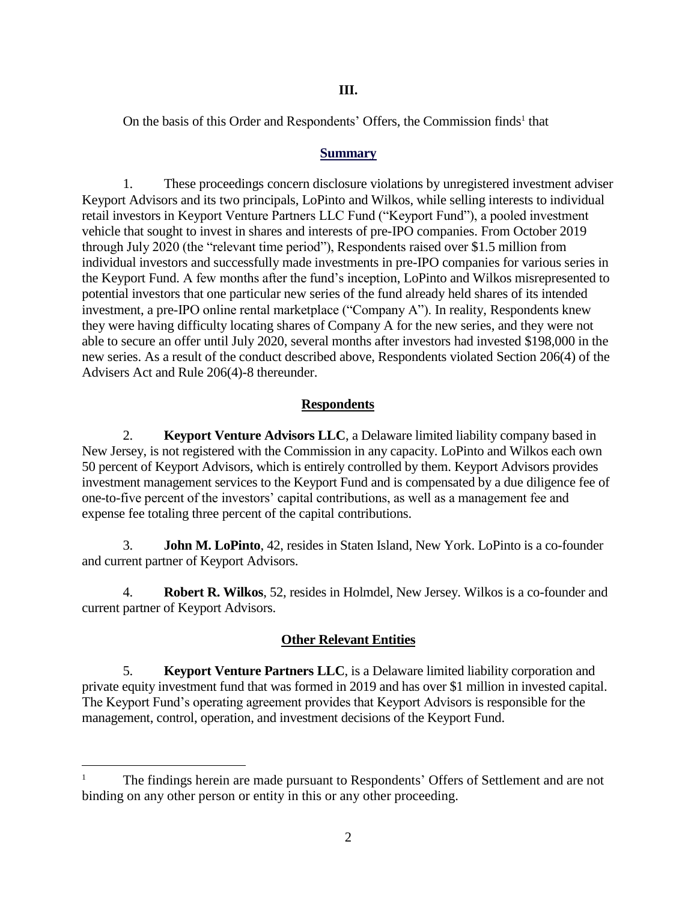On the basis of this Order and Respondents' Offers, the Commission finds<sup>1</sup> that

### **Summary**

1. These proceedings concern disclosure violations by unregistered investment adviser Keyport Advisors and its two principals, LoPinto and Wilkos, while selling interests to individual retail investors in Keyport Venture Partners LLC Fund ("Keyport Fund"), a pooled investment vehicle that sought to invest in shares and interests of pre-IPO companies. From October 2019 through July 2020 (the "relevant time period"), Respondents raised over \$1.5 million from individual investors and successfully made investments in pre-IPO companies for various series in the Keyport Fund. A few months after the fund's inception, LoPinto and Wilkos misrepresented to potential investors that one particular new series of the fund already held shares of its intended investment, a pre-IPO online rental marketplace ("Company A"). In reality, Respondents knew they were having difficulty locating shares of Company A for the new series, and they were not able to secure an offer until July 2020, several months after investors had invested \$198,000 in the new series. As a result of the conduct described above, Respondents violated Section 206(4) of the Advisers Act and Rule 206(4)-8 thereunder.

## **Respondents**

2. **Keyport Venture Advisors LLC**, a Delaware limited liability company based in New Jersey, is not registered with the Commission in any capacity. LoPinto and Wilkos each own 50 percent of Keyport Advisors, which is entirely controlled by them. Keyport Advisors provides investment management services to the Keyport Fund and is compensated by a due diligence fee of one-to-five percent of the investors' capital contributions, as well as a management fee and expense fee totaling three percent of the capital contributions.

3. **John M. LoPinto**, 42, resides in Staten Island, New York. LoPinto is a co-founder and current partner of Keyport Advisors.

4. **Robert R. Wilkos**, 52, resides in Holmdel, New Jersey. Wilkos is a co-founder and current partner of Keyport Advisors.

## **Other Relevant Entities**

5. **Keyport Venture Partners LLC**, is a Delaware limited liability corporation and private equity investment fund that was formed in 2019 and has over \$1 million in invested capital. The Keyport Fund's operating agreement provides that Keyport Advisors is responsible for the management, control, operation, and investment decisions of the Keyport Fund.

 $\overline{a}$ 

<sup>1</sup> The findings herein are made pursuant to Respondents' Offers of Settlement and are not binding on any other person or entity in this or any other proceeding.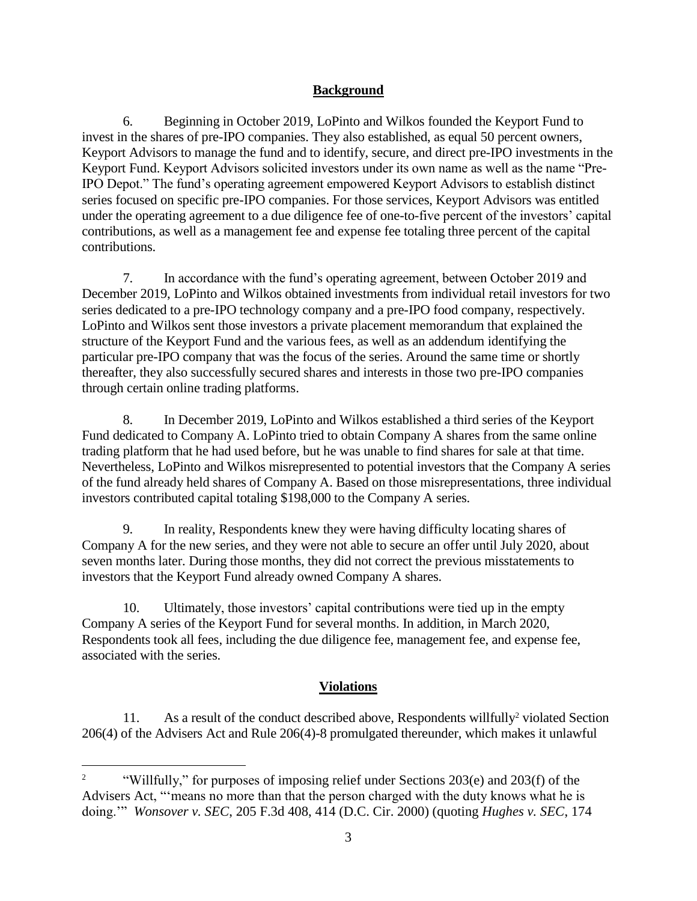# **Background**

6. Beginning in October 2019, LoPinto and Wilkos founded the Keyport Fund to invest in the shares of pre-IPO companies. They also established, as equal 50 percent owners, Keyport Advisors to manage the fund and to identify, secure, and direct pre-IPO investments in the Keyport Fund. Keyport Advisors solicited investors under its own name as well as the name "Pre-IPO Depot." The fund's operating agreement empowered Keyport Advisors to establish distinct series focused on specific pre-IPO companies. For those services, Keyport Advisors was entitled under the operating agreement to a due diligence fee of one-to-five percent of the investors' capital contributions, as well as a management fee and expense fee totaling three percent of the capital contributions.

7. In accordance with the fund's operating agreement, between October 2019 and December 2019, LoPinto and Wilkos obtained investments from individual retail investors for two series dedicated to a pre-IPO technology company and a pre-IPO food company, respectively. LoPinto and Wilkos sent those investors a private placement memorandum that explained the structure of the Keyport Fund and the various fees, as well as an addendum identifying the particular pre-IPO company that was the focus of the series. Around the same time or shortly thereafter, they also successfully secured shares and interests in those two pre-IPO companies through certain online trading platforms.

8. In December 2019, LoPinto and Wilkos established a third series of the Keyport Fund dedicated to Company A. LoPinto tried to obtain Company A shares from the same online trading platform that he had used before, but he was unable to find shares for sale at that time. Nevertheless, LoPinto and Wilkos misrepresented to potential investors that the Company A series of the fund already held shares of Company A. Based on those misrepresentations, three individual investors contributed capital totaling \$198,000 to the Company A series.

9. In reality, Respondents knew they were having difficulty locating shares of Company A for the new series, and they were not able to secure an offer until July 2020, about seven months later. During those months, they did not correct the previous misstatements to investors that the Keyport Fund already owned Company A shares.

10. Ultimately, those investors' capital contributions were tied up in the empty Company A series of the Keyport Fund for several months. In addition, in March 2020, Respondents took all fees, including the due diligence fee, management fee, and expense fee, associated with the series.

# **Violations**

11. As a result of the conduct described above, Respondents willfully<sup>2</sup> violated Section 206(4) of the Advisers Act and Rule 206(4)-8 promulgated thereunder, which makes it unlawful

 $\overline{a}$ 

<sup>&</sup>lt;sup>2</sup> "Willfully," for purposes of imposing relief under Sections 203(e) and 203(f) of the Advisers Act, "'means no more than that the person charged with the duty knows what he is doing.'" *Wonsover v. SEC*, 205 F.3d 408, 414 (D.C. Cir. 2000) (quoting *Hughes v. SEC*, 174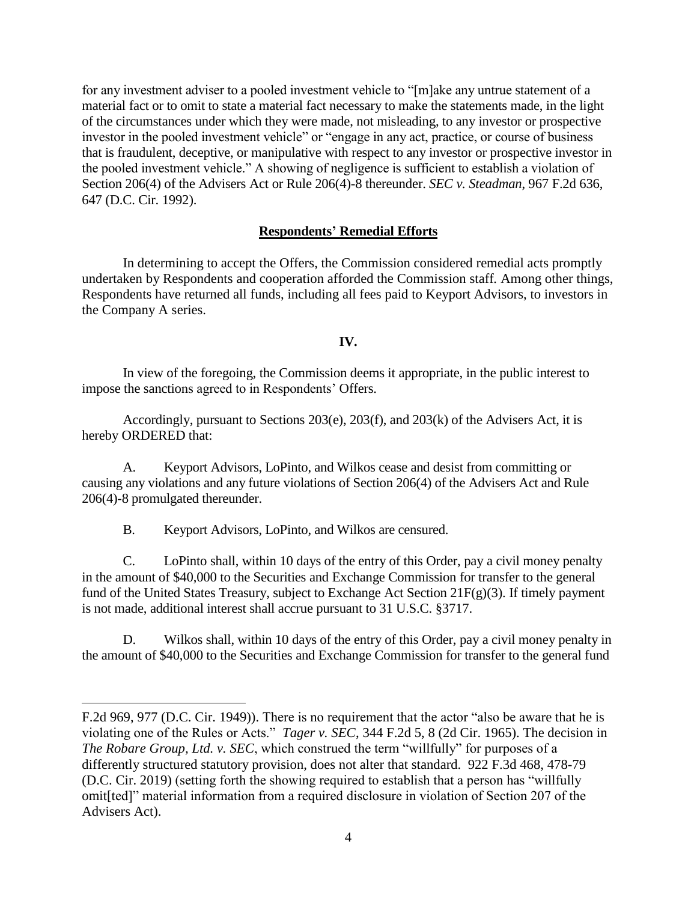for any investment adviser to a pooled investment vehicle to "[m]ake any untrue statement of a material fact or to omit to state a material fact necessary to make the statements made, in the light of the circumstances under which they were made, not misleading, to any investor or prospective investor in the pooled investment vehicle" or "engage in any act, practice, or course of business that is fraudulent, deceptive, or manipulative with respect to any investor or prospective investor in the pooled investment vehicle." A showing of negligence is sufficient to establish a violation of Section 206(4) of the Advisers Act or Rule 206(4)-8 thereunder. *SEC v. Steadman*, 967 F.2d 636, 647 (D.C. Cir. 1992).

#### **Respondents' Remedial Efforts**

In determining to accept the Offers, the Commission considered remedial acts promptly undertaken by Respondents and cooperation afforded the Commission staff*.* Among other things, Respondents have returned all funds, including all fees paid to Keyport Advisors, to investors in the Company A series.

#### **IV.**

In view of the foregoing, the Commission deems it appropriate, in the public interest to impose the sanctions agreed to in Respondents' Offers.

Accordingly, pursuant to Sections 203(e), 203(f), and 203(k) of the Advisers Act, it is hereby ORDERED that:

A. Keyport Advisors, LoPinto, and Wilkos cease and desist from committing or causing any violations and any future violations of Section 206(4) of the Advisers Act and Rule 206(4)-8 promulgated thereunder.

B. Keyport Advisors, LoPinto, and Wilkos are censured.

 $\overline{a}$ 

C. LoPinto shall, within 10 days of the entry of this Order, pay a civil money penalty in the amount of \$40,000 to the Securities and Exchange Commission for transfer to the general fund of the United States Treasury, subject to Exchange Act Section 21F(g)(3). If timely payment is not made, additional interest shall accrue pursuant to 31 U.S.C. §3717.

D. Wilkos shall, within 10 days of the entry of this Order, pay a civil money penalty in the amount of \$40,000 to the Securities and Exchange Commission for transfer to the general fund

F.2d 969, 977 (D.C. Cir. 1949)). There is no requirement that the actor "also be aware that he is violating one of the Rules or Acts." *Tager v. SEC*, 344 F.2d 5, 8 (2d Cir. 1965). The decision in *The Robare Group, Ltd. v. SEC*, which construed the term "willfully" for purposes of a differently structured statutory provision, does not alter that standard. 922 F.3d 468, 478-79 (D.C. Cir. 2019) (setting forth the showing required to establish that a person has "willfully omit[ted]" material information from a required disclosure in violation of Section 207 of the Advisers Act).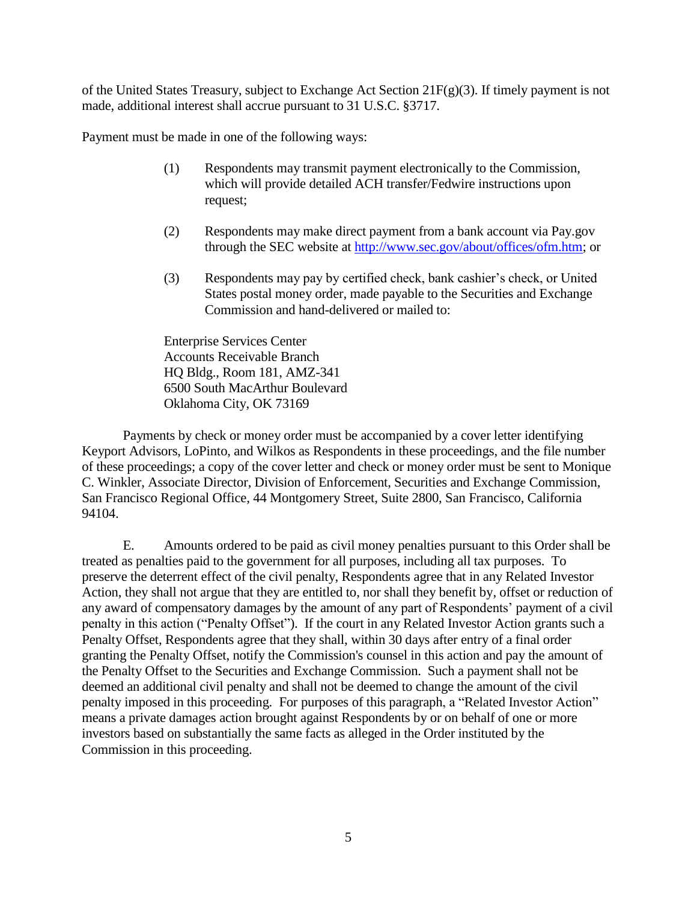of the United States Treasury, subject to Exchange Act Section  $21F(g)(3)$ . If timely payment is not made, additional interest shall accrue pursuant to 31 U.S.C. §3717.

Payment must be made in one of the following ways:

- (1) Respondents may transmit payment electronically to the Commission, which will provide detailed ACH transfer/Fedwire instructions upon request;
- (2) Respondents may make direct payment from a bank account via Pay.gov through the SEC website at [http://www.sec.gov/about/offices/ofm.htm;](http://www.sec.gov/about/offices/ofm.htm) or
- (3) Respondents may pay by certified check, bank cashier's check, or United States postal money order, made payable to the Securities and Exchange Commission and hand-delivered or mailed to:

Enterprise Services Center Accounts Receivable Branch HQ Bldg., Room 181, AMZ-341 6500 South MacArthur Boulevard Oklahoma City, OK 73169

Payments by check or money order must be accompanied by a cover letter identifying Keyport Advisors, LoPinto, and Wilkos as Respondents in these proceedings, and the file number of these proceedings; a copy of the cover letter and check or money order must be sent to Monique C. Winkler, Associate Director, Division of Enforcement, Securities and Exchange Commission, San Francisco Regional Office, 44 Montgomery Street, Suite 2800, San Francisco, California 94104.

E. Amounts ordered to be paid as civil money penalties pursuant to this Order shall be treated as penalties paid to the government for all purposes, including all tax purposes. To preserve the deterrent effect of the civil penalty, Respondents agree that in any Related Investor Action, they shall not argue that they are entitled to, nor shall they benefit by, offset or reduction of any award of compensatory damages by the amount of any part of Respondents' payment of a civil penalty in this action ("Penalty Offset"). If the court in any Related Investor Action grants such a Penalty Offset, Respondents agree that they shall, within 30 days after entry of a final order granting the Penalty Offset, notify the Commission's counsel in this action and pay the amount of the Penalty Offset to the Securities and Exchange Commission. Such a payment shall not be deemed an additional civil penalty and shall not be deemed to change the amount of the civil penalty imposed in this proceeding. For purposes of this paragraph, a "Related Investor Action" means a private damages action brought against Respondents by or on behalf of one or more investors based on substantially the same facts as alleged in the Order instituted by the Commission in this proceeding.